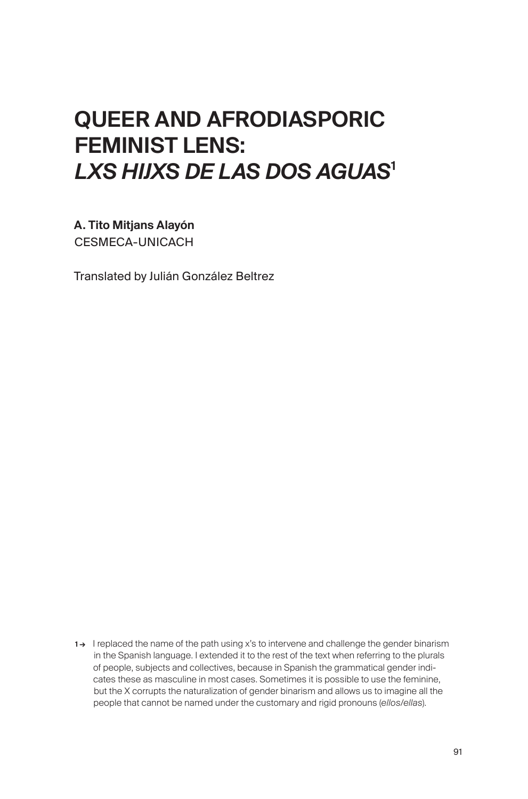# QUEER AND AFRODIASPORIC FEMINIST LENS: *LXS HIJXS DE LAS DOS AGUAS*<sup>1</sup>

A. Tito Mitjans Alayón CESMECA-UNICACH

Translated by Julián González Beltrez

<sup>1→</sup> I replaced the name of the path using x's to intervene and challenge the gender binarism in the Spanish language. I extended it to the rest of the text when referring to the plurals of people, subjects and collectives, because in Spanish the grammatical gender indicates these as masculine in most cases. Sometimes it is possible to use the feminine, but the X corrupts the naturalization of gender binarism and allows us to imagine all the people that cannot be named under the customary and rigid pronouns (*ellos/ellas*).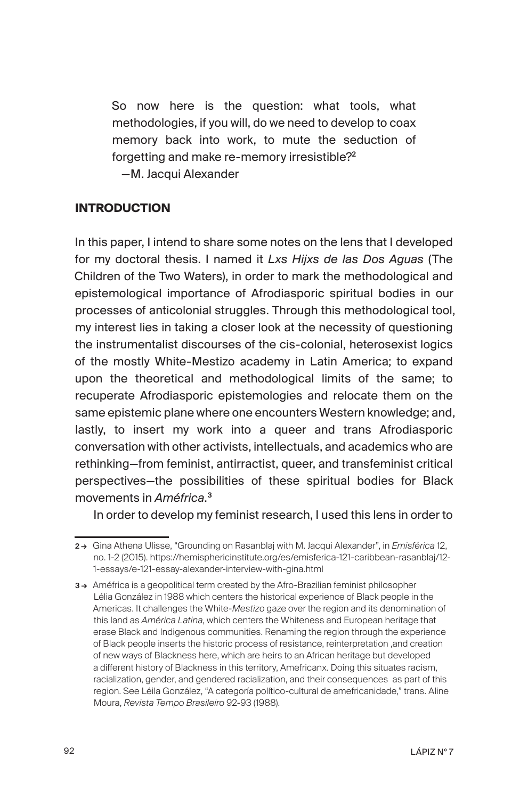So now here is the question: what tools, what methodologies, if you will, do we need to develop to coax memory back into work, to mute the seduction of forgetting and make re-memory irresistible?<sup>2</sup>

—M. Jacqui Alexander

## **INTRODUCTION**

In this paper, I intend to share some notes on the lens that I developed for my doctoral thesis. I named it *Lxs Hijxs de las Dos Aguas* (The Children of the Two Waters), in order to mark the methodological and epistemological importance of Afrodiasporic spiritual bodies in our processes of anticolonial struggles. Through this methodological tool, my interest lies in taking a closer look at the necessity of questioning the instrumentalist discourses of the cis-colonial, heterosexist logics of the mostly White-Mestizo academy in Latin America; to expand upon the theoretical and methodological limits of the same; to recuperate Afrodiasporic epistemologies and relocate them on the same epistemic plane where one encounters Western knowledge; and, lastly, to insert my work into a queer and trans Afrodiasporic conversation with other activists, intellectuals, and academics who are rethinking—from feminist, antirractist, queer, and transfeminist critical perspectives—the possibilities of these spiritual bodies for Black movements in *Améfrica*. 3

In order to develop my feminist research, I used this lens in order to

<sup>2 →</sup> Gina Athena Ulisse, "Grounding on Rasanblaj with M. Jacqui Alexander", in *Emisférica* 12, no. 1-2 (2015). https://hemisphericinstitute.org/es/emisferica-121-caribbean-rasanblaj/12- 1-essays/e-121-essay-alexander-interview-with-gina.html

<sup>3→</sup> Améfrica is a geopolitical term created by the Afro-Brazilian feminist philosopher Lélia González in 1988 which centers the historical experience of Black people in the Americas. It challenges the White-*Mestizo* gaze over the region and its denomination of this land as *América Latina*, which centers the Whiteness and European heritage that erase Black and Indigenous communities. Renaming the region through the experience of Black people inserts the historic process of resistance, reinterpretation ,and creation of new ways of Blackness here, which are heirs to an African heritage but developed a different history of Blackness in this territory, Amefricanx. Doing this situates racism, racialization, gender, and gendered racialization, and their consequences as part of this region. See Léila González, "A categoría político-cultural de amefricanidade," trans. Aline Moura, *Revista Tempo Brasileiro* 92-93 (1988).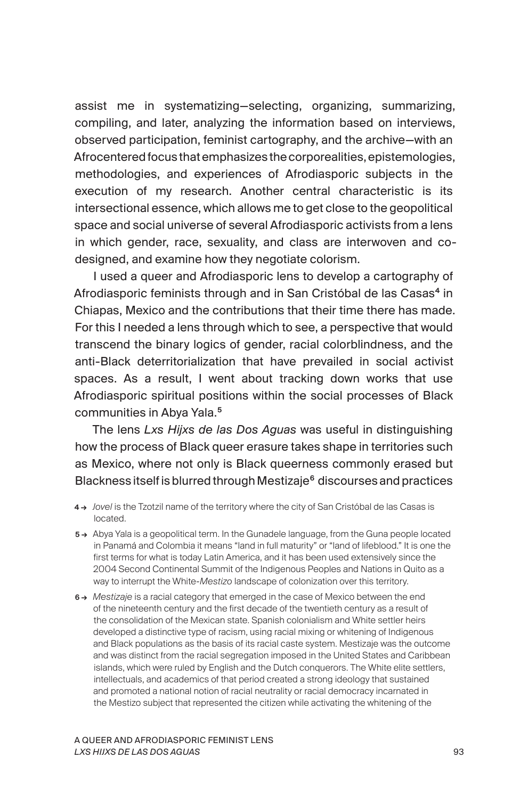assist me in systematizing—selecting, organizing, summarizing, compiling, and later, analyzing the information based on interviews, observed participation, feminist cartography, and the archive—with an Afrocentered focus that emphasizes the corporealities, epistemologies, methodologies, and experiences of Afrodiasporic subjects in the execution of my research. Another central characteristic is its intersectional essence, which allows me to get close to the geopolitical space and social universe of several Afrodiasporic activists from a lens in which gender, race, sexuality, and class are interwoven and codesigned, and examine how they negotiate colorism.

I used a queer and Afrodiasporic lens to develop a cartography of Afrodiasporic feminists through and in San Cristóbal de las Casas<sup>4</sup> in Chiapas, Mexico and the contributions that their time there has made. For this I needed a lens through which to see, a perspective that would transcend the binary logics of gender, racial colorblindness, and the anti-Black deterritorialization that have prevailed in social activist spaces. As a result, I went about tracking down works that use Afrodiasporic spiritual positions within the social processes of Black communities in Abya Yala.<sup>5</sup>

The lens *Lxs Hijxs de las Dos Aguas* was useful in distinguishing how the process of Black queer erasure takes shape in territories such as Mexico, where not only is Black queerness commonly erased but Blackness itself is blurred through Mestizaje<sup>6</sup> discourses and practices

- 4 → *Jovel* is the Tzotzil name of the territory where the city of San Cristóbal de las Casas is located.
- 5 → Abya Yala is a geopolitical term. In the Gunadele language, from the Guna people located in Panamá and Colombia it means "land in full maturity" or "land of lifeblood." It is one the first terms for what is today Latin America, and it has been used extensively since the 2004 Second Continental Summit of the Indigenous Peoples and Nations in Quito as a way to interrupt the White-*Mestizo* landscape of colonization over this territory.
- 6 → *Mestizaje* is a racial category that emerged in the case of Mexico between the end of the nineteenth century and the first decade of the twentieth century as a result of the consolidation of the Mexican state. Spanish colonialism and White settler heirs developed a distinctive type of racism, using racial mixing or whitening of Indigenous and Black populations as the basis of its racial caste system. Mestizaje was the outcome and was distinct from the racial segregation imposed in the United States and Caribbean islands, which were ruled by English and the Dutch conquerors. The White elite settlers, intellectuals, and academics of that period created a strong ideology that sustained and promoted a national notion of racial neutrality or racial democracy incarnated in the Mestizo subject that represented the citizen while activating the whitening of the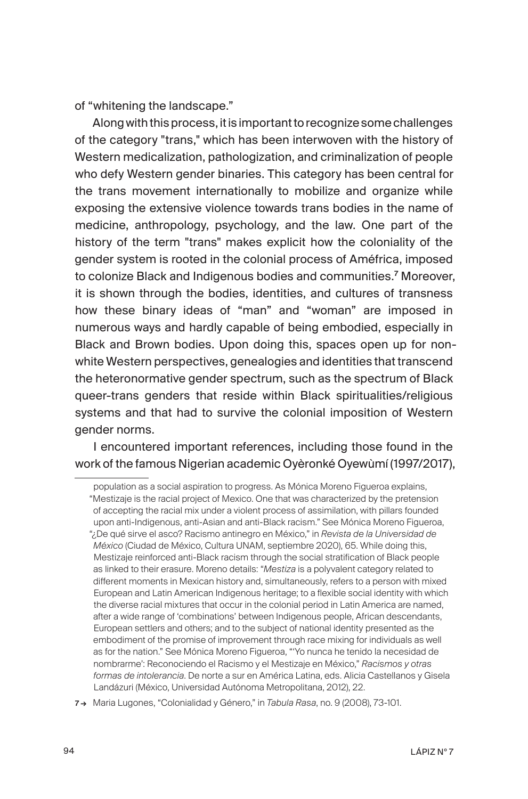of "whitening the landscape."

Along with this process, it is important to recognize some challenges of the category "trans," which has been interwoven with the history of Western medicalization, pathologization, and criminalization of people who defy Western gender binaries. This category has been central for the trans movement internationally to mobilize and organize while exposing the extensive violence towards trans bodies in the name of medicine, anthropology, psychology, and the law. One part of the history of the term "trans" makes explicit how the coloniality of the gender system is rooted in the colonial process of Améfrica, imposed to colonize Black and Indigenous bodies and communities.<sup>7</sup> Moreover, it is shown through the bodies, identities, and cultures of transness how these binary ideas of "man" and "woman" are imposed in numerous ways and hardly capable of being embodied, especially in Black and Brown bodies. Upon doing this, spaces open up for nonwhite Western perspectives, genealogies and identities that transcend the heteronormative gender spectrum, such as the spectrum of Black queer-trans genders that reside within Black spiritualities/religious systems and that had to survive the colonial imposition of Western gender norms.

I encountered important references, including those found in the work of the famous Nigerian academic Oyèronké Oyewùmí (1997/2017),

population as a social aspiration to progress. As Mónica Moreno Figueroa explains, "Mestizaje is the racial project of Mexico. One that was characterized by the pretension of accepting the racial mix under a violent process of assimilation, with pillars founded upon anti-Indigenous, anti-Asian and anti-Black racism." See Mónica Moreno Figueroa, "¿De qué sirve el asco? Racismo antinegro en México," in *Revista de la Universidad de México* (Ciudad de México, Cultura UNAM, septiembre 2020), 65. While doing this, Mestizaje reinforced anti-Black racism through the social stratification of Black people as linked to their erasure. Moreno details: "*Mestiza* is a polyvalent category related to different moments in Mexican history and, simultaneously, refers to a person with mixed European and Latin American Indigenous heritage; to a flexible social identity with which the diverse racial mixtures that occur in the colonial period in Latin America are named, after a wide range of 'combinations' between Indigenous people, African descendants, European settlers and others; and to the subject of national identity presented as the embodiment of the promise of improvement through race mixing for individuals as well as for the nation." See Mónica Moreno Figueroa, "'Yo nunca he tenido la necesidad de nombrarme': Reconociendo el Racismo y el Mestizaje en México," *Racismos y otras formas de intolerancia*. De norte a sur en América Latina, eds. Alicia Castellanos y Gisela Landázuri (México, Universidad Autónoma Metropolitana, 2012), 22.

<sup>7 →</sup> Maria Lugones, "Colonialidad y Género," in *Tabula Rasa*, no. 9 (2008), 73-101.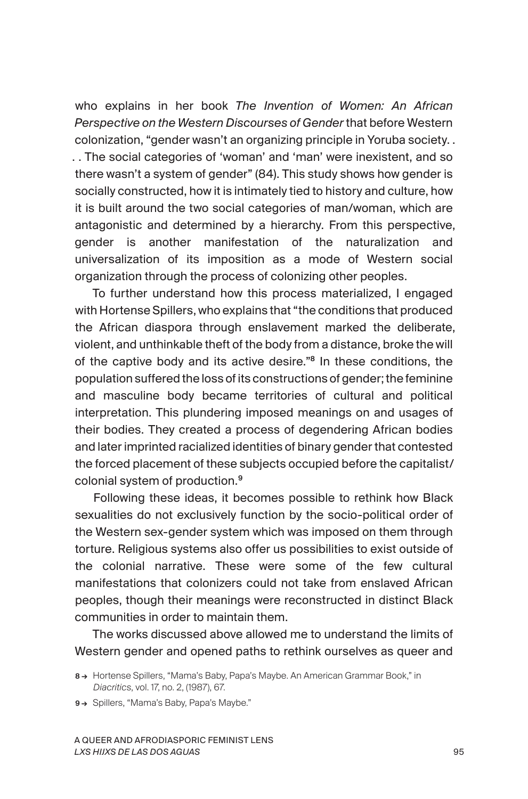who explains in her book *The Invention of Women: An African Perspective on the Western Discourses of Gender* that before Western colonization, "gender wasn't an organizing principle in Yoruba society. . . . The social categories of 'woman' and 'man' were inexistent, and so there wasn't a system of gender" (84). This study shows how gender is socially constructed, how it is intimately tied to history and culture, how it is built around the two social categories of man/woman, which are antagonistic and determined by a hierarchy. From this perspective, gender is another manifestation of the naturalization and universalization of its imposition as a mode of Western social organization through the process of colonizing other peoples.

To further understand how this process materialized, I engaged with Hortense Spillers, who explains that "the conditions that produced the African diaspora through enslavement marked the deliberate, violent, and unthinkable theft of the body from a distance, broke the will of the captive body and its active desire."<sup>8</sup> In these conditions, the population suffered the loss of its constructions of gender; the feminine and masculine body became territories of cultural and political interpretation. This plundering imposed meanings on and usages of their bodies. They created a process of degendering African bodies and later imprinted racialized identities of binary gender that contested the forced placement of these subjects occupied before the capitalist/ colonial system of production.<sup>9</sup>

Following these ideas, it becomes possible to rethink how Black sexualities do not exclusively function by the socio-political order of the Western sex-gender system which was imposed on them through torture. Religious systems also offer us possibilities to exist outside of the colonial narrative. These were some of the few cultural manifestations that colonizers could not take from enslaved African peoples, though their meanings were reconstructed in distinct Black communities in order to maintain them.

The works discussed above allowed me to understand the limits of Western gender and opened paths to rethink ourselves as queer and

9→ Spillers, "Mama's Baby, Papa's Maybe."

<sup>8→</sup> Hortense Spillers, "Mama's Baby, Papa's Maybe. An American Grammar Book," in *Diacritics*, vol. 17, no. 2, (1987), 67.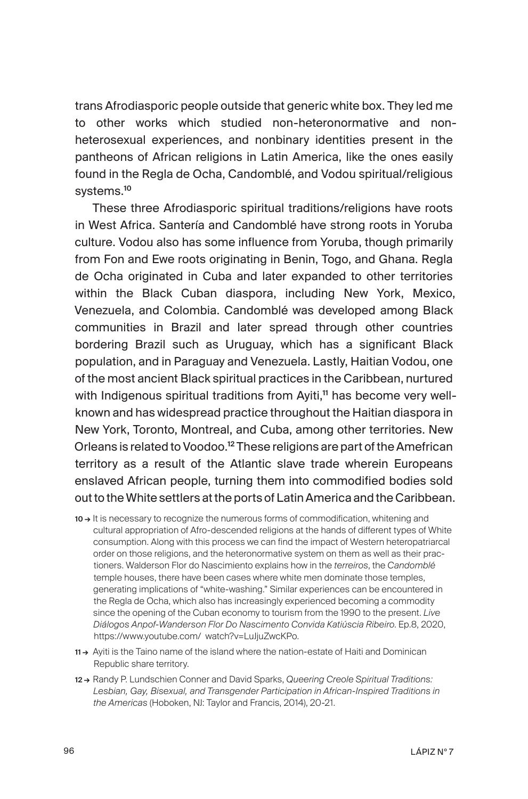trans Afrodiasporic people outside that generic white box. They led me to other works which studied non-heteronormative and nonheterosexual experiences, and nonbinary identities present in the pantheons of African religions in Latin America, like the ones easily found in the Regla de Ocha, Candomblé, and Vodou spiritual/religious systems.<sup>10</sup>

These three Afrodiasporic spiritual traditions/religions have roots in West Africa. Santería and Candomblé have strong roots in Yoruba culture. Vodou also has some influence from Yoruba, though primarily from Fon and Ewe roots originating in Benin, Togo, and Ghana. Regla de Ocha originated in Cuba and later expanded to other territories within the Black Cuban diaspora, including New York, Mexico, Venezuela, and Colombia. Candomblé was developed among Black communities in Brazil and later spread through other countries bordering Brazil such as Uruguay, which has a significant Black population, and in Paraguay and Venezuela. Lastly, Haitian Vodou, one of the most ancient Black spiritual practices in the Caribbean, nurtured with Indigenous spiritual traditions from Ayiti,<sup>11</sup> has become very wellknown and has widespread practice throughout the Haitian diaspora in New York, Toronto, Montreal, and Cuba, among other territories. New Orleans is related to Voodoo.<sup>12</sup> These religions are part of the Amefrican territory as a result of the Atlantic slave trade wherein Europeans enslaved African people, turning them into commodified bodies sold out to the White settlers at the ports of Latin America and the Caribbean.

- 10 → It is necessary to recognize the numerous forms of commodification, whitening and cultural appropriation of Afro-descended religions at the hands of different types of White consumption. Along with this process we can find the impact of Western heteropatriarcal order on those religions, and the heteronormative system on them as well as their practioners. Walderson Flor do Nascimiento explains how in the *terreiros*, the *Candomblé* temple houses, there have been cases where white men dominate those temples, generating implications of "white-washing." Similar experiences can be encountered in the Regla de Ocha, which also has increasingly experienced becoming a commodity since the opening of the Cuban economy to tourism from the 1990 to the present. *Live Diálogos Anpof-Wanderson Flor Do Nascimento Convida Katiúscia Ribeiro*. Ep.8, 2020, https://www.youtube.com/ watch?v=LuJjuZwcKPo.
- 11 → Ayiti is the Taino name of the island where the nation-estate of Haiti and Dominican Republic share territory.
- 12 → Randy P. Lundschien Conner and David Sparks, *Queering Creole Spiritual Traditions: Lesbian, Gay, Bisexual, and Transgender Participation in African-Inspired Traditions in the Americas* (Hoboken, NJ: Taylor and Francis, 2014), 20-21.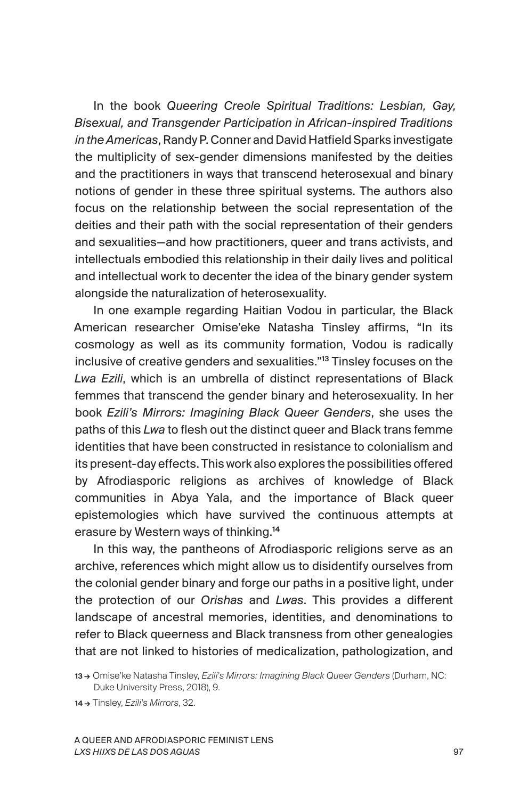In the book *Queering Creole Spiritual Traditions: Lesbian, Gay, Bisexual, and Transgender Participation in African-inspired Traditions in the Americas*, Randy P. Conner and David Hatfield Sparks investigate the multiplicity of sex-gender dimensions manifested by the deities and the practitioners in ways that transcend heterosexual and binary notions of gender in these three spiritual systems. The authors also focus on the relationship between the social representation of the deities and their path with the social representation of their genders and sexualities—and how practitioners, queer and trans activists, and intellectuals embodied this relationship in their daily lives and political and intellectual work to decenter the idea of the binary gender system alongside the naturalization of heterosexuality.

In one example regarding Haitian Vodou in particular, the Black American researcher Omise'eke Natasha Tinsley affirms, "In its cosmology as well as its community formation, Vodou is radically inclusive of creative genders and sexualities."<sup>13</sup> Tinsley focuses on the *Lwa Ezili*, which is an umbrella of distinct representations of Black femmes that transcend the gender binary and heterosexuality. In her book *Ezili's Mirrors: Imagining Black Queer Genders*, she uses the paths of this *Lwa* to flesh out the distinct queer and Black trans femme identities that have been constructed in resistance to colonialism and its present-day effects. This work also explores the possibilities offered by Afrodiasporic religions as archives of knowledge of Black communities in Abya Yala, and the importance of Black queer epistemologies which have survived the continuous attempts at erasure by Western ways of thinking.<sup>14</sup>

In this way, the pantheons of Afrodiasporic religions serve as an archive, references which might allow us to disidentify ourselves from the colonial gender binary and forge our paths in a positive light, under the protection of our *Orishas* and *Lwas*. This provides a different landscape of ancestral memories, identities, and denominations to refer to Black queerness and Black transness from other genealogies that are not linked to histories of medicalization, pathologization, and

14 → Tinsley, *Ezili's Mirrors*, 32.

<sup>13 →</sup> Omise'ke Natasha Tinsley, *Ezili's Mirrors: Imagining Black Queer Genders* (Durham, NC: Duke University Press, 2018), 9.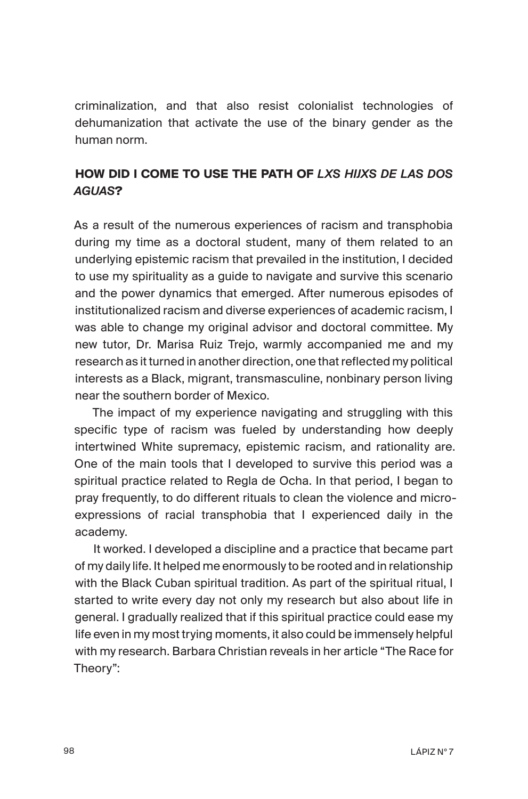criminalization, and that also resist colonialist technologies of dehumanization that activate the use of the binary gender as the human norm.

## **HOW DID I COME TO USE THE PATH OF** *LXS HIJXS DE LAS DOS AGUAS***?**

As a result of the numerous experiences of racism and transphobia during my time as a doctoral student, many of them related to an underlying epistemic racism that prevailed in the institution, I decided to use my spirituality as a guide to navigate and survive this scenario and the power dynamics that emerged. After numerous episodes of institutionalized racism and diverse experiences of academic racism, I was able to change my original advisor and doctoral committee. My new tutor, Dr. Marisa Ruiz Trejo, warmly accompanied me and my research as it turned in another direction, one that reflected my political interests as a Black, migrant, transmasculine, nonbinary person living near the southern border of Mexico.

The impact of my experience navigating and struggling with this specific type of racism was fueled by understanding how deeply intertwined White supremacy, epistemic racism, and rationality are. One of the main tools that I developed to survive this period was a spiritual practice related to Regla de Ocha. In that period, I began to pray frequently, to do different rituals to clean the violence and microexpressions of racial transphobia that I experienced daily in the academy.

It worked. I developed a discipline and a practice that became part of my daily life. It helped me enormously to be rooted and in relationship with the Black Cuban spiritual tradition. As part of the spiritual ritual, I started to write every day not only my research but also about life in general. I gradually realized that if this spiritual practice could ease my life even in my most trying moments, it also could be immensely helpful with my research. Barbara Christian reveals in her article "The Race for Theory":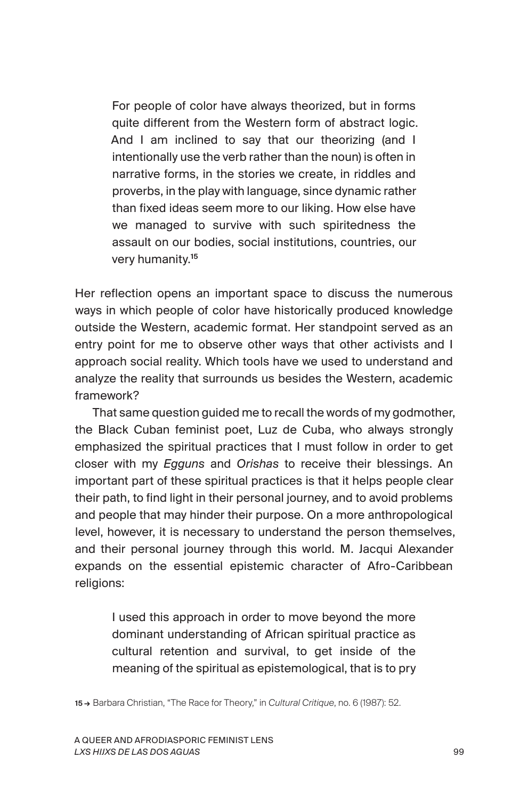For people of color have always theorized, but in forms quite different from the Western form of abstract logic. And I am inclined to say that our theorizing (and I intentionally use the verb rather than the noun) is often in narrative forms, in the stories we create, in riddles and proverbs, in the play with language, since dynamic rather than fixed ideas seem more to our liking. How else have we managed to survive with such spiritedness the assault on our bodies, social institutions, countries, our very humanity.<sup>15</sup>

Her reflection opens an important space to discuss the numerous ways in which people of color have historically produced knowledge outside the Western, academic format. Her standpoint served as an entry point for me to observe other ways that other activists and I approach social reality. Which tools have we used to understand and analyze the reality that surrounds us besides the Western, academic framework?

That same question guided me to recall the words of my godmother, the Black Cuban feminist poet, Luz de Cuba, who always strongly emphasized the spiritual practices that I must follow in order to get closer with my *Egguns* and *Orishas* to receive their blessings. An important part of these spiritual practices is that it helps people clear their path, to find light in their personal journey, and to avoid problems and people that may hinder their purpose. On a more anthropological level, however, it is necessary to understand the person themselves, and their personal journey through this world. M. Jacqui Alexander expands on the essential epistemic character of Afro-Caribbean religions:

I used this approach in order to move beyond the more dominant understanding of African spiritual practice as cultural retention and survival, to get inside of the meaning of the spiritual as epistemological, that is to pry

15 → Barbara Christian, "The Race for Theory," in *Cultural Critique*, no. 6 (1987): 52.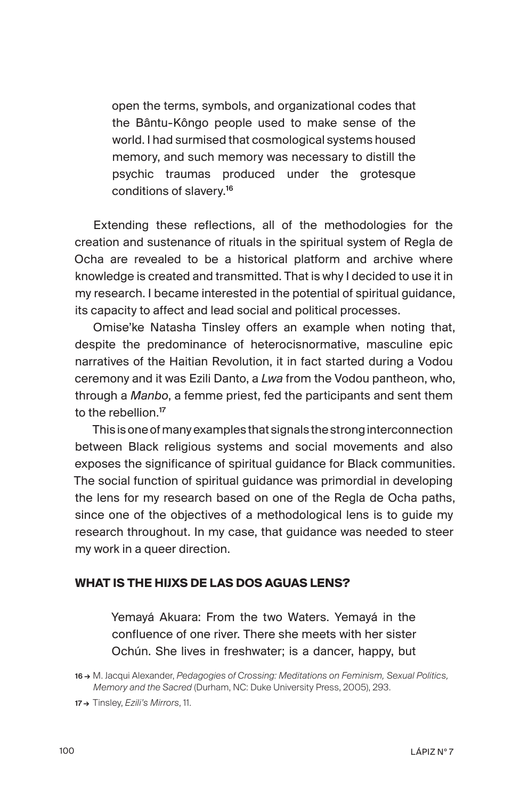open the terms, symbols, and organizational codes that the Bântu-Kôngo people used to make sense of the world. I had surmised that cosmological systems housed memory, and such memory was necessary to distill the psychic traumas produced under the grotesque conditions of slavery.<sup>16</sup>

Extending these reflections, all of the methodologies for the creation and sustenance of rituals in the spiritual system of Regla de Ocha are revealed to be a historical platform and archive where knowledge is created and transmitted. That is why I decided to use it in my research. I became interested in the potential of spiritual guidance, its capacity to affect and lead social and political processes.

Omise'ke Natasha Tinsley offers an example when noting that, despite the predominance of heterocisnormative, masculine epic narratives of the Haitian Revolution, it in fact started during a Vodou ceremony and it was Ezili Danto, a *Lwa* from the Vodou pantheon, who, through a *Manbo*, a femme priest, fed the participants and sent them to the rebellion.<sup>17</sup>

This is one of many examples that signals the strong interconnection between Black religious systems and social movements and also exposes the significance of spiritual guidance for Black communities. The social function of spiritual guidance was primordial in developing the lens for my research based on one of the Regla de Ocha paths, since one of the objectives of a methodological lens is to guide my research throughout. In my case, that guidance was needed to steer my work in a queer direction.

#### **WHAT IS THE HIJXS DE LAS DOS AGUAS LENS?**

Yemayá Akuara: From the two Waters. Yemayá in the confluence of one river. There she meets with her sister Ochún. She lives in freshwater; is a dancer, happy, but

<sup>16 →</sup> M. Jacqui Alexander, *Pedagogies of Crossing: Meditations on Feminism, Sexual Politics, Memory and the Sacred* (Durham, NC: Duke University Press, 2005), 293.

<sup>17 →</sup> Tinsley, *Ezili's Mirrors*, 11.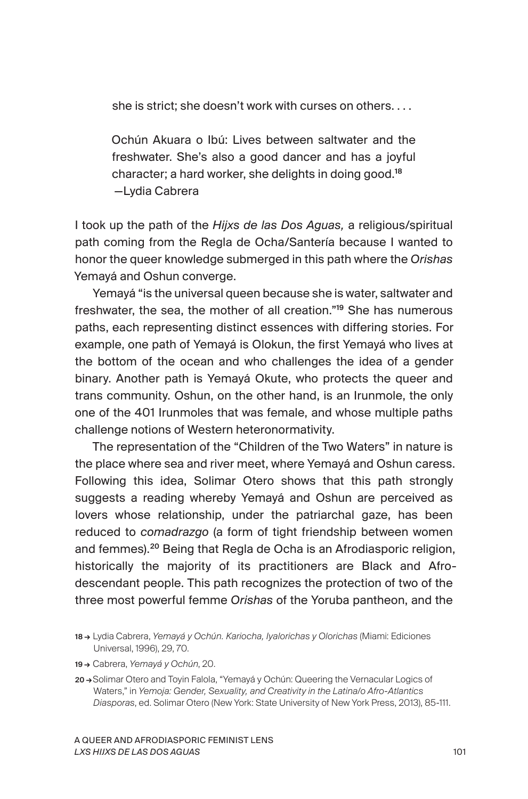she is strict; she doesn't work with curses on others. . . .

Ochún Akuara o Ibú: Lives between saltwater and the freshwater. She's also a good dancer and has a joyful character; a hard worker, she delights in doing good.<sup>18</sup> —Lydia Cabrera

I took up the path of the *Hijxs de las Dos Aguas,* a religious/spiritual path coming from the Regla de Ocha/Santería because I wanted to honor the queer knowledge submerged in this path where the *Orishas* Yemayá and Oshun converge.

Yemayá "is the universal queen because she is water, saltwater and freshwater, the sea, the mother of all creation."<sup>19</sup> She has numerous paths, each representing distinct essences with differing stories. For example, one path of Yemayá is Olokun, the first Yemayá who lives at the bottom of the ocean and who challenges the idea of a gender binary. Another path is Yemayá Okute, who protects the queer and trans community. Oshun, on the other hand, is an Irunmole, the only one of the 401 Irunmoles that was female, and whose multiple paths challenge notions of Western heteronormativity.

The representation of the "Children of the Two Waters" in nature is the place where sea and river meet, where Yemayá and Oshun caress. Following this idea, Solimar Otero shows that this path strongly suggests a reading whereby Yemayá and Oshun are perceived as lovers whose relationship, under the patriarchal gaze, has been reduced to *comadrazgo* (a form of tight friendship between women and femmes).<sup>20</sup> Being that Regla de Ocha is an Afrodiasporic religion, historically the majority of its practitioners are Black and Afrodescendant people. This path recognizes the protection of two of the three most powerful femme *Orishas* of the Yoruba pantheon, and the

19 → Cabrera, *Yemayá y Ochún*, 20.

<sup>18 →</sup> Lydia Cabrera, *Yemayá y Ochún. Kariocha, Iyalorichas y Olorichas* (Miami: Ediciones Universal, 1996), 29, 70.

<sup>20 →</sup>Solimar Otero and Toyin Falola, "Yemayá y Ochún: Queering the Vernacular Logics of Waters," in *Yemoja: Gender, Sexuality, and Creativity in the Latina/o Afro-Atlantics Diasporas*, ed. Solimar Otero (New York: State University of New York Press, 2013), 85-111.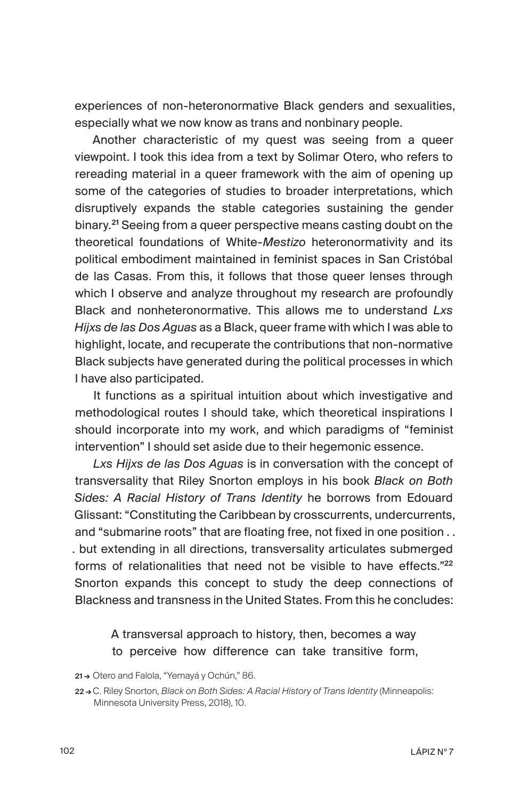experiences of non-heteronormative Black genders and sexualities, especially what we now know as trans and nonbinary people.

Another characteristic of my quest was seeing from a queer viewpoint. I took this idea from a text by Solimar Otero, who refers to rereading material in a queer framework with the aim of opening up some of the categories of studies to broader interpretations, which disruptively expands the stable categories sustaining the gender binary.<sup>21</sup> Seeing from a queer perspective means casting doubt on the theoretical foundations of White-*Mestizo* heteronormativity and its political embodiment maintained in feminist spaces in San Cristóbal de las Casas. From this, it follows that those queer lenses through which I observe and analyze throughout my research are profoundly Black and nonheteronormative. This allows me to understand *Lxs Hijxs de las Dos Aguas* as a Black, queer frame with which I was able to highlight, locate, and recuperate the contributions that non-normative Black subjects have generated during the political processes in which I have also participated.

It functions as a spiritual intuition about which investigative and methodological routes I should take, which theoretical inspirations I should incorporate into my work, and which paradigms of "feminist intervention" I should set aside due to their hegemonic essence.

*Lxs Hijxs de las Dos Aguas* is in conversation with the concept of transversality that Riley Snorton employs in his book *Black on Both Sides: A Racial History of Trans Identity* he borrows from Edouard Glissant: "Constituting the Caribbean by crosscurrents, undercurrents, and "submarine roots" that are floating free, not fixed in one position . . . but extending in all directions, transversality articulates submerged forms of relationalities that need not be visible to have effects."<sup>22</sup> Snorton expands this concept to study the deep connections of Blackness and transness in the United States. From this he concludes:

## A transversal approach to history, then, becomes a way to perceive how difference can take transitive form,

21→ Otero and Falola, "Yemayá y Ochún," 86.

<sup>22 →</sup> C. Riley Snorton, *Black on Both Sides: A Racial History of Trans Identity* (Minneapolis: Minnesota University Press, 2018), 10.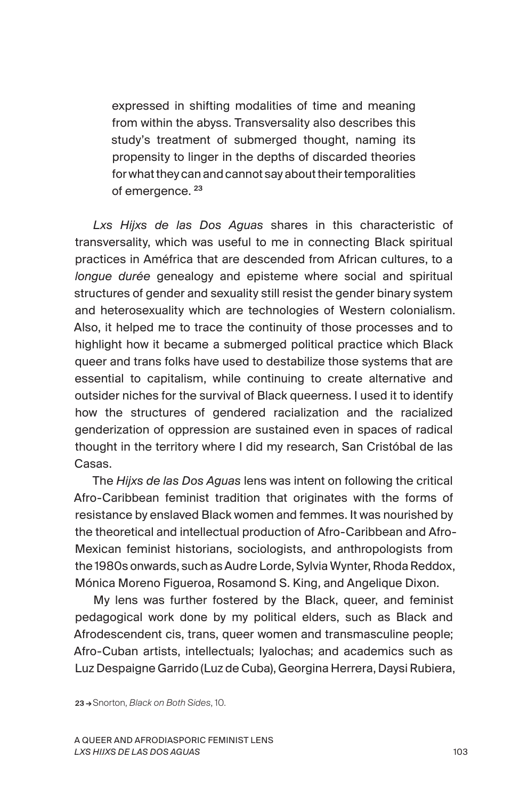expressed in shifting modalities of time and meaning from within the abyss. Transversality also describes this study's treatment of submerged thought, naming its propensity to linger in the depths of discarded theories for what they can and cannot say about their temporalities of emergence.<sup>23</sup>

*Lxs Hijxs de las Dos Aguas* shares in this characteristic of transversality, which was useful to me in connecting Black spiritual practices in Améfrica that are descended from African cultures, to a *longue durée* genealogy and episteme where social and spiritual structures of gender and sexuality still resist the gender binary system and heterosexuality which are technologies of Western colonialism. Also, it helped me to trace the continuity of those processes and to highlight how it became a submerged political practice which Black queer and trans folks have used to destabilize those systems that are essential to capitalism, while continuing to create alternative and outsider niches for the survival of Black queerness. I used it to identify how the structures of gendered racialization and the racialized genderization of oppression are sustained even in spaces of radical thought in the territory where I did my research, San Cristóbal de las Casas.

The *Hijxs de las Dos Aguas* lens was intent on following the critical Afro-Caribbean feminist tradition that originates with the forms of resistance by enslaved Black women and femmes. It was nourished by the theoretical and intellectual production of Afro-Caribbean and Afro-Mexican feminist historians, sociologists, and anthropologists from the 1980s onwards, such as Audre Lorde, Sylvia Wynter, Rhoda Reddox, Mónica Moreno Figueroa, Rosamond S. King, and Angelique Dixon.

My lens was further fostered by the Black, queer, and feminist pedagogical work done by my political elders, such as Black and Afrodescendent cis, trans, queer women and transmasculine people; Afro-Cuban artists, intellectuals; Iyalochas; and academics such as Luz Despaigne Garrido (Luz de Cuba), Georgina Herrera, Daysi Rubiera,

23 → Snorton, *Black on Both Sides*, 10.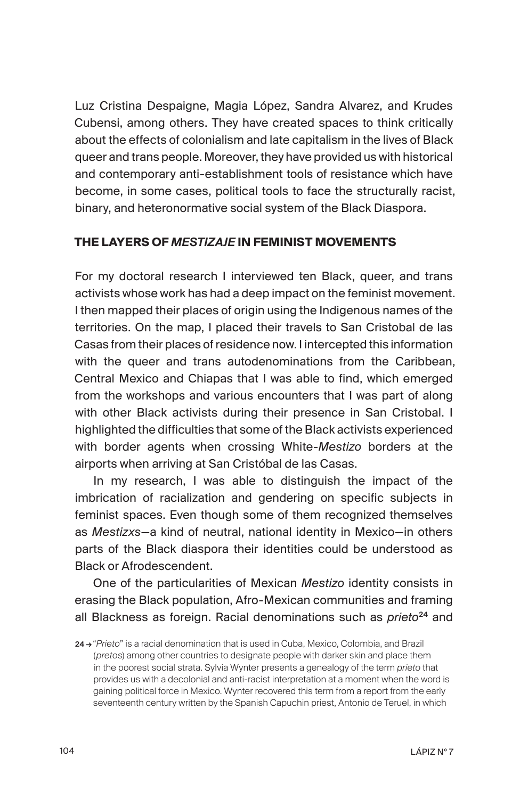Luz Cristina Despaigne, Magia López, Sandra Alvarez, and Krudes Cubensi, among others. They have created spaces to think critically about the effects of colonialism and late capitalism in the lives of Black queer and trans people. Moreover, they have provided us with historical and contemporary anti-establishment tools of resistance which have become, in some cases, political tools to face the structurally racist, binary, and heteronormative social system of the Black Diaspora.

## **THE LAYERS OF** *MESTIZAJE* **IN FEMINIST MOVEMENTS**

For my doctoral research I interviewed ten Black, queer, and trans activists whose work has had a deep impact on the feminist movement. I then mapped their places of origin using the Indigenous names of the territories. On the map, I placed their travels to San Cristobal de las Casas from their places of residence now. I intercepted this information with the queer and trans autodenominations from the Caribbean, Central Mexico and Chiapas that I was able to find, which emerged from the workshops and various encounters that I was part of along with other Black activists during their presence in San Cristobal. I highlighted the difficulties that some of the Black activists experienced with border agents when crossing White-*Mestizo* borders at the airports when arriving at San Cristóbal de las Casas.

In my research, I was able to distinguish the impact of the imbrication of racialization and gendering on specific subjects in feminist spaces. Even though some of them recognized themselves as *Mestizxs*—a kind of neutral, national identity in Mexico—in others parts of the Black diaspora their identities could be understood as Black or Afrodescendent.

One of the particularities of Mexican *Mestizo* identity consists in erasing the Black population, Afro-Mexican communities and framing all Blackness as foreign. Racial denominations such as *prieto*<sup>24</sup> and

<sup>24 →</sup>"*Prieto*" is a racial denomination that is used in Cuba, Mexico, Colombia, and Brazil (*pretos*) among other countries to designate people with darker skin and place them in the poorest social strata. Sylvia Wynter presents a genealogy of the term *prieto* that provides us with a decolonial and anti-racist interpretation at a moment when the word is gaining political force in Mexico. Wynter recovered this term from a report from the early seventeenth century written by the Spanish Capuchin priest, Antonio de Teruel, in which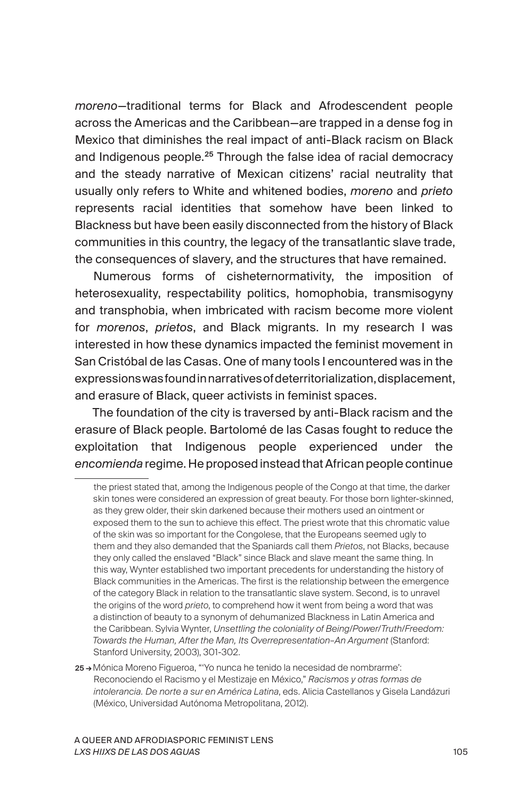*moreno*—traditional terms for Black and Afrodescendent people across the Americas and the Caribbean—are trapped in a dense fog in Mexico that diminishes the real impact of anti-Black racism on Black and Indigenous people.<sup>25</sup> Through the false idea of racial democracy and the steady narrative of Mexican citizens' racial neutrality that usually only refers to White and whitened bodies, *moreno* and *prieto* represents racial identities that somehow have been linked to Blackness but have been easily disconnected from the history of Black communities in this country, the legacy of the transatlantic slave trade, the consequences of slavery, and the structures that have remained.

Numerous forms of cisheternormativity, the imposition of heterosexuality, respectability politics, homophobia, transmisogyny and transphobia, when imbricated with racism become more violent for *morenos*, *prietos*, and Black migrants. In my research I was interested in how these dynamics impacted the feminist movement in San Cristóbal de las Casas. One of many tools I encountered was in the expressions was found in narratives of deterritorialization, displacement, and erasure of Black, queer activists in feminist spaces.

The foundation of the city is traversed by anti-Black racism and the erasure of Black people. Bartolomé de las Casas fought to reduce the exploitation that Indigenous people experienced under the *encomienda* regime. He proposed instead that African people continue

the priest stated that, among the Indigenous people of the Congo at that time, the darker skin tones were considered an expression of great beauty. For those born lighter-skinned, as they grew older, their skin darkened because their mothers used an ointment or exposed them to the sun to achieve this effect. The priest wrote that this chromatic value of the skin was so important for the Congolese, that the Europeans seemed ugly to them and they also demanded that the Spaniards call them *Prietos*, not Blacks, because they only called the enslaved "Black" since Black and slave meant the same thing. In this way, Wynter established two important precedents for understanding the history of Black communities in the Americas. The first is the relationship between the emergence of the category Black in relation to the transatlantic slave system. Second, is to unravel the origins of the word *prieto*, to comprehend how it went from being a word that was a distinction of beauty to a synonym of dehumanized Blackness in Latin America and the Caribbean. Sylvia Wynter, *Unsettling the coloniality of Being/Power/Truth/Freedom: Towards the Human, After the Man, Its Overrepresentation–An Argument* (Stanford: Stanford University, 2003), 301-302.

<sup>25 →</sup>Mónica Moreno Figueroa, "'Yo nunca he tenido la necesidad de nombrarme': Reconociendo el Racismo y el Mestizaje en México," *Racismos y otras formas de intolerancia. De norte a sur en América Latina*, eds. Alicia Castellanos y Gisela Landázuri (México, Universidad Autónoma Metropolitana, 2012).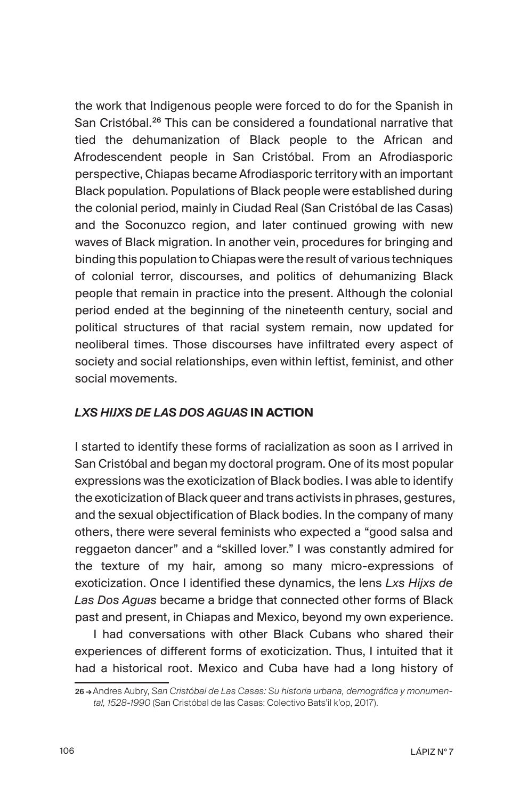the work that Indigenous people were forced to do for the Spanish in San Cristóbal.<sup>26</sup> This can be considered a foundational narrative that tied the dehumanization of Black people to the African and Afrodescendent people in San Cristóbal. From an Afrodiasporic perspective, Chiapas became Afrodiasporic territory with an important Black population. Populations of Black people were established during the colonial period, mainly in Ciudad Real (San Cristóbal de las Casas) and the Soconuzco region, and later continued growing with new waves of Black migration. In another vein, procedures for bringing and binding this population to Chiapas were the result of various techniques of colonial terror, discourses, and politics of dehumanizing Black people that remain in practice into the present. Although the colonial period ended at the beginning of the nineteenth century, social and political structures of that racial system remain, now updated for neoliberal times. Those discourses have infiltrated every aspect of society and social relationships, even within leftist, feminist, and other social movements.

## *LXS HIJXS DE LAS DOS AGUAS* **IN ACTION**

I started to identify these forms of racialization as soon as I arrived in San Cristóbal and began my doctoral program. One of its most popular expressions was the exoticization of Black bodies. I was able to identify the exoticization of Black queer and trans activists in phrases, gestures, and the sexual objectification of Black bodies. In the company of many others, there were several feminists who expected a "good salsa and reggaeton dancer" and a "skilled lover." I was constantly admired for the texture of my hair, among so many micro-expressions of exoticization. Once I identified these dynamics, the lens *Lxs Hijxs de Las Dos Aguas* became a bridge that connected other forms of Black past and present, in Chiapas and Mexico, beyond my own experience.

I had conversations with other Black Cubans who shared their experiences of different forms of exoticization. Thus, I intuited that it had a historical root. Mexico and Cuba have had a long history of

<sup>26 →</sup>Andres Aubry, *San Cristóbal de Las Casas: Su historia urbana, demográfica y monumental, 1528-1990* (San Cristóbal de las Casas: Colectivo Bats'il k'op, 2017).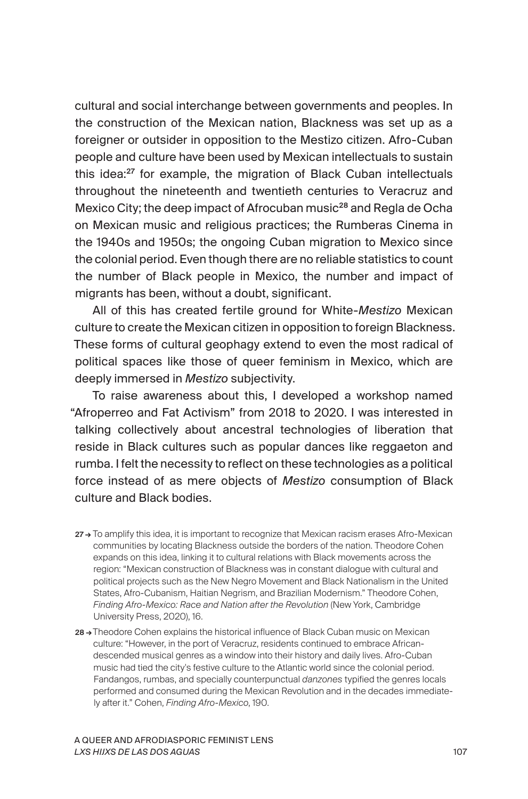cultural and social interchange between governments and peoples. In the construction of the Mexican nation, Blackness was set up as a foreigner or outsider in opposition to the Mestizo citizen. Afro-Cuban people and culture have been used by Mexican intellectuals to sustain this idea:<sup>27</sup> for example, the migration of Black Cuban intellectuals throughout the nineteenth and twentieth centuries to Veracruz and Mexico City; the deep impact of Afrocuban music<sup>28</sup> and Regla de Ocha on Mexican music and religious practices; the Rumberas Cinema in the 1940s and 1950s; the ongoing Cuban migration to Mexico since the colonial period. Even though there are no reliable statistics to count the number of Black people in Mexico, the number and impact of migrants has been, without a doubt, significant.

All of this has created fertile ground for White-*Mestizo* Mexican culture to create the Mexican citizen in opposition to foreign Blackness. These forms of cultural geophagy extend to even the most radical of political spaces like those of queer feminism in Mexico, which are deeply immersed in *Mestizo* subjectivity.

To raise awareness about this, I developed a workshop named "Afroperreo and Fat Activism" from 2018 to 2020. I was interested in talking collectively about ancestral technologies of liberation that reside in Black cultures such as popular dances like reggaeton and rumba. I felt the necessity to reflect on these technologies as a political force instead of as mere objects of *Mestizo* consumption of Black culture and Black bodies.

- 27→ To amplify this idea, it is important to recognize that Mexican racism erases Afro-Mexican communities by locating Blackness outside the borders of the nation. Theodore Cohen expands on this idea, linking it to cultural relations with Black movements across the region: "Mexican construction of Blackness was in constant dialogue with cultural and political projects such as the New Negro Movement and Black Nationalism in the United States, Afro-Cubanism, Haitian Negrism, and Brazilian Modernism." Theodore Cohen, *Finding Afro-Mexico: Race and Nation after the Revolution* (New York, Cambridge University Press, 2020), 16.
- 28 → Theodore Cohen explains the historical influence of Black Cuban music on Mexican culture: "However, in the port of Veracruz, residents continued to embrace Africandescended musical genres as a window into their history and daily lives. Afro-Cuban music had tied the city's festive culture to the Atlantic world since the colonial period. Fandangos, rumbas, and specially counterpunctual *danzones* typified the genres locals performed and consumed during the Mexican Revolution and in the decades immediately after it." Cohen, *Finding Afro-Mexico*, 190.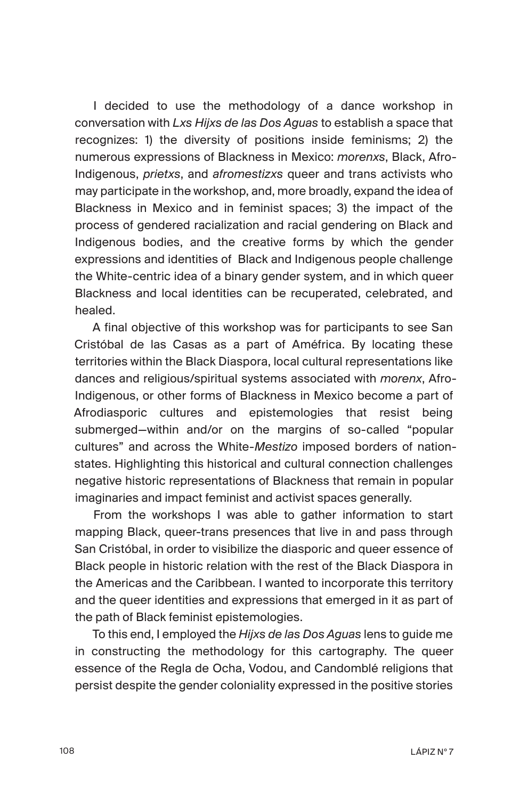I decided to use the methodology of a dance workshop in conversation with *Lxs Hijxs de las Dos Aguas* to establish a space that recognizes: 1) the diversity of positions inside feminisms; 2) the numerous expressions of Blackness in Mexico: *morenxs*, Black, Afro-Indigenous, *prietxs*, and *afromestizxs* queer and trans activists who may participate in the workshop, and, more broadly, expand the idea of Blackness in Mexico and in feminist spaces; 3) the impact of the process of gendered racialization and racial gendering on Black and Indigenous bodies, and the creative forms by which the gender expressions and identities of Black and Indigenous people challenge the White-centric idea of a binary gender system, and in which queer Blackness and local identities can be recuperated, celebrated, and healed.

A final objective of this workshop was for participants to see San Cristóbal de las Casas as a part of Améfrica. By locating these territories within the Black Diaspora, local cultural representations like dances and religious/spiritual systems associated with *morenx*, Afro-Indigenous, or other forms of Blackness in Mexico become a part of Afrodiasporic cultures and epistemologies that resist being submerged—within and/or on the margins of so-called "popular cultures" and across the White-*Mestizo* imposed borders of nationstates. Highlighting this historical and cultural connection challenges negative historic representations of Blackness that remain in popular imaginaries and impact feminist and activist spaces generally.

From the workshops I was able to gather information to start mapping Black, queer-trans presences that live in and pass through San Cristóbal, in order to visibilize the diasporic and queer essence of Black people in historic relation with the rest of the Black Diaspora in the Americas and the Caribbean. I wanted to incorporate this territory and the queer identities and expressions that emerged in it as part of the path of Black feminist epistemologies.

To this end, I employed the *Hijxs de las Dos Aguas* lens to guide me in constructing the methodology for this cartography. The queer essence of the Regla de Ocha, Vodou, and Candomblé religions that persist despite the gender coloniality expressed in the positive stories